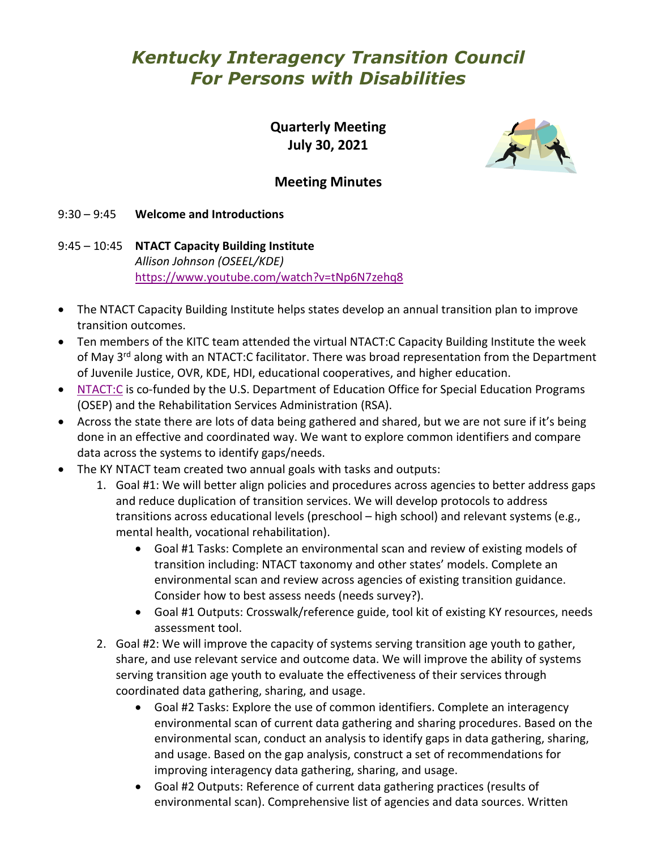# *Kentucky Interagency Transition Council For Persons with Disabilities*

**Quarterly Meeting July 30, 2021**



# **Meeting Minutes**

9:30 – 9:45 **Welcome and Introductions**

9:45 – 10:45 **NTACT Capacity Building Institute** *Allison Johnson (OSEEL/KDE)* <https://www.youtube.com/watch?v=tNp6N7zehq8>

- The NTACT Capacity Building Institute helps states develop an annual transition plan to improve transition outcomes.
- Ten members of the KITC team attended the virtual NTACT:C Capacity Building Institute the week of May  $3<sup>rd</sup>$  along with an NTACT:C facilitator. There was broad representation from the Department of Juvenile Justice, OVR, KDE, HDI, educational cooperatives, and higher education.
- [NTACT:C](https://transitionta.org/) is co-funded by the U.S. Department of Education Office for Special Education Programs (OSEP) and the Rehabilitation Services Administration (RSA).
- Across the state there are lots of data being gathered and shared, but we are not sure if it's being done in an effective and coordinated way. We want to explore common identifiers and compare data across the systems to identify gaps/needs.
- The KY NTACT team created two annual goals with tasks and outputs:
	- 1. Goal #1: We will better align policies and procedures across agencies to better address gaps and reduce duplication of transition services. We will develop protocols to address transitions across educational levels (preschool – high school) and relevant systems (e.g., mental health, vocational rehabilitation).
		- Goal #1 Tasks: Complete an environmental scan and review of existing models of transition including: NTACT taxonomy and other states' models. Complete an environmental scan and review across agencies of existing transition guidance. Consider how to best assess needs (needs survey?).
		- Goal #1 Outputs: Crosswalk/reference guide, tool kit of existing KY resources, needs assessment tool.
	- 2. Goal #2: We will improve the capacity of systems serving transition age youth to gather, share, and use relevant service and outcome data. We will improve the ability of systems serving transition age youth to evaluate the effectiveness of their services through coordinated data gathering, sharing, and usage.
		- Goal #2 Tasks: Explore the use of common identifiers. Complete an interagency environmental scan of current data gathering and sharing procedures. Based on the environmental scan, conduct an analysis to identify gaps in data gathering, sharing, and usage. Based on the gap analysis, construct a set of recommendations for improving interagency data gathering, sharing, and usage.
		- Goal #2 Outputs: Reference of current data gathering practices (results of environmental scan). Comprehensive list of agencies and data sources. Written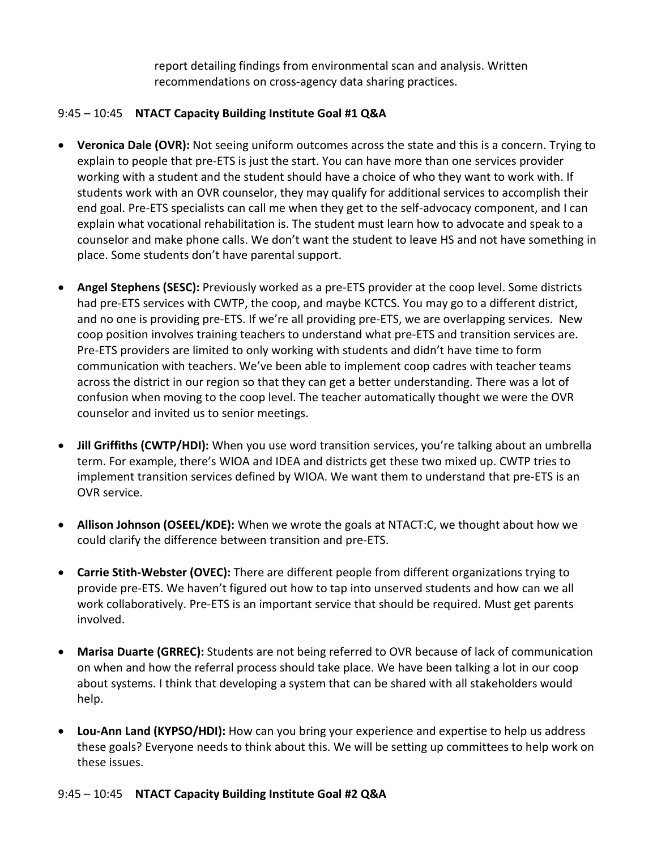report detailing findings from environmental scan and analysis. Written recommendations on cross-agency data sharing practices.

## 9:45 – 10:45 **NTACT Capacity Building Institute Goal #1 Q&A**

- **Veronica Dale (OVR):** Not seeing uniform outcomes across the state and this is a concern. Trying to explain to people that pre-ETS is just the start. You can have more than one services provider working with a student and the student should have a choice of who they want to work with. If students work with an OVR counselor, they may qualify for additional services to accomplish their end goal. Pre-ETS specialists can call me when they get to the self-advocacy component, and I can explain what vocational rehabilitation is. The student must learn how to advocate and speak to a counselor and make phone calls. We don't want the student to leave HS and not have something in place. Some students don't have parental support.
- **Angel Stephens (SESC):** Previously worked as a pre-ETS provider at the coop level. Some districts had pre-ETS services with CWTP, the coop, and maybe KCTCS. You may go to a different district, and no one is providing pre-ETS. If we're all providing pre-ETS, we are overlapping services. New coop position involves training teachers to understand what pre-ETS and transition services are. Pre-ETS providers are limited to only working with students and didn't have time to form communication with teachers. We've been able to implement coop cadres with teacher teams across the district in our region so that they can get a better understanding. There was a lot of confusion when moving to the coop level. The teacher automatically thought we were the OVR counselor and invited us to senior meetings.
- **Jill Griffiths (CWTP/HDI):** When you use word transition services, you're talking about an umbrella term. For example, there's WIOA and IDEA and districts get these two mixed up. CWTP tries to implement transition services defined by WIOA. We want them to understand that pre-ETS is an OVR service.
- **Allison Johnson (OSEEL/KDE):** When we wrote the goals at NTACT:C, we thought about how we could clarify the difference between transition and pre-ETS.
- **Carrie Stith-Webster (OVEC):** There are different people from different organizations trying to provide pre-ETS. We haven't figured out how to tap into unserved students and how can we all work collaboratively. Pre-ETS is an important service that should be required. Must get parents involved.
- **Marisa Duarte (GRREC):** Students are not being referred to OVR because of lack of communication on when and how the referral process should take place. We have been talking a lot in our coop about systems. I think that developing a system that can be shared with all stakeholders would help.
- **Lou-Ann Land (KYPSO/HDI):** How can you bring your experience and expertise to help us address these goals? Everyone needs to think about this. We will be setting up committees to help work on these issues.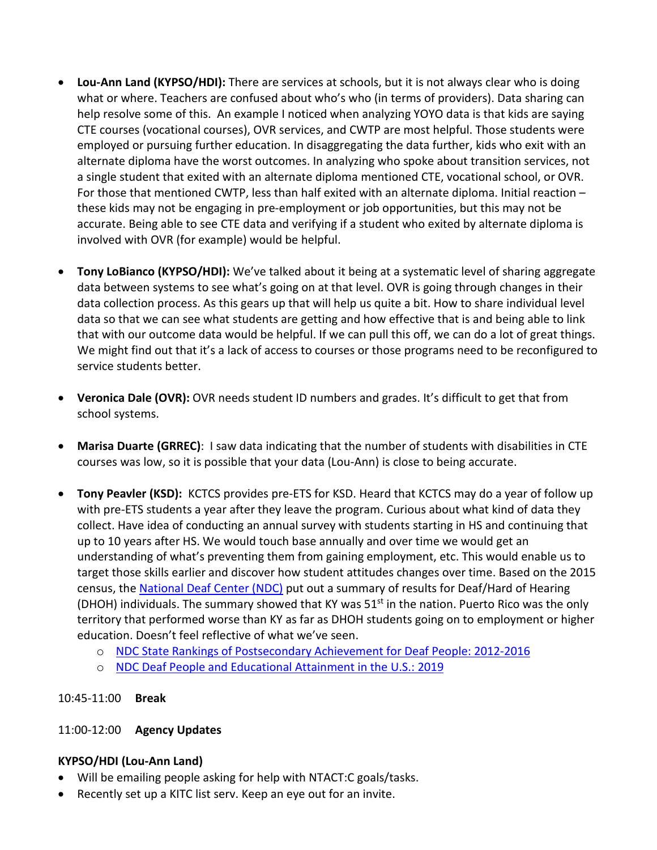- **Lou-Ann Land (KYPSO/HDI):** There are services at schools, but it is not always clear who is doing what or where. Teachers are confused about who's who (in terms of providers). Data sharing can help resolve some of this. An example I noticed when analyzing YOYO data is that kids are saying CTE courses (vocational courses), OVR services, and CWTP are most helpful. Those students were employed or pursuing further education. In disaggregating the data further, kids who exit with an alternate diploma have the worst outcomes. In analyzing who spoke about transition services, not a single student that exited with an alternate diploma mentioned CTE, vocational school, or OVR. For those that mentioned CWTP, less than half exited with an alternate diploma. Initial reaction – these kids may not be engaging in pre-employment or job opportunities, but this may not be accurate. Being able to see CTE data and verifying if a student who exited by alternate diploma is involved with OVR (for example) would be helpful.
- **Tony LoBianco (KYPSO/HDI):** We've talked about it being at a systematic level of sharing aggregate data between systems to see what's going on at that level. OVR is going through changes in their data collection process. As this gears up that will help us quite a bit. How to share individual level data so that we can see what students are getting and how effective that is and being able to link that with our outcome data would be helpful. If we can pull this off, we can do a lot of great things. We might find out that it's a lack of access to courses or those programs need to be reconfigured to service students better.
- **Veronica Dale (OVR):** OVR needs student ID numbers and grades. It's difficult to get that from school systems.
- **Marisa Duarte (GRREC)**: I saw data indicating that the number of students with disabilities in CTE courses was low, so it is possible that your data (Lou-Ann) is close to being accurate.
- **Tony Peavler (KSD):** KCTCS provides pre-ETS for KSD. Heard that KCTCS may do a year of follow up with pre-ETS students a year after they leave the program. Curious about what kind of data they collect. Have idea of conducting an annual survey with students starting in HS and continuing that up to 10 years after HS. We would touch base annually and over time we would get an understanding of what's preventing them from gaining employment, etc. This would enable us to target those skills earlier and discover how student attitudes changes over time. Based on the 2015 census, the [National Deaf Center](https://www.nationaldeafcenter.org/) (NDC) put out a summary of results for Deaf/Hard of Hearing (DHOH) individuals. The summary showed that KY was  $51<sup>st</sup>$  in the nation. Puerto Rico was the only territory that performed worse than KY as far as DHOH students going on to employment or higher education. Doesn't feel reflective of what we've seen.
	- o [NDC State Rankings of Postsecondary Achievement for Deaf People: 2012-2016](https://www.nationaldeafcenter.org/sites/default/files/State%20Rankings%20of%20Postsecondary%20Achievement%20for%20Deaf%20People_2012-2016.pdf)
	- o [NDC Deaf People and Educational Attainment in the U.S.: 2019](https://www.nationaldeafcenter.org/sites/default/files/Deaf%20People%20and%20Educational%20Attainment%20in%20the%20United%20States_%202019.pdf)

## 10:45-11:00 **Break**

## 11:00-12:00 **Agency Updates**

## **KYPSO/HDI (Lou-Ann Land)**

- Will be emailing people asking for help with NTACT:C goals/tasks.
- Recently set up a KITC list serv. Keep an eye out for an invite.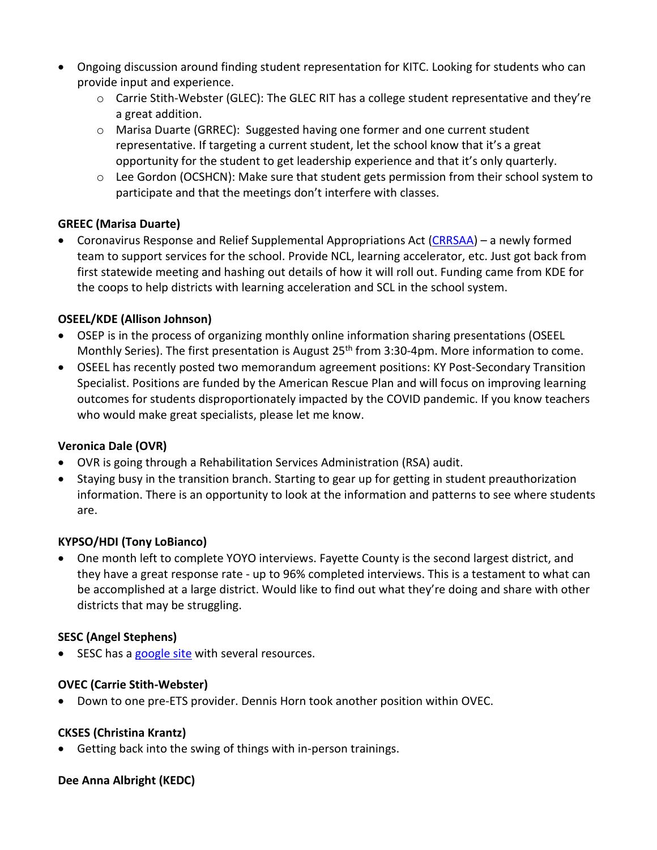- Ongoing discussion around finding student representation for KITC. Looking for students who can provide input and experience.
	- $\circ$  Carrie Stith-Webster (GLEC): The GLEC RIT has a college student representative and they're a great addition.
	- o Marisa Duarte (GRREC): Suggested having one former and one current student representative. If targeting a current student, let the school know that it's a great opportunity for the student to get leadership experience and that it's only quarterly.
	- o Lee Gordon (OCSHCN): Make sure that student gets permission from their school system to participate and that the meetings don't interfere with classes.

## **GREEC (Marisa Duarte)**

• Coronavirus Response and Relief Supplemental Appropriations Act [\(CRRSAA\)](https://www2.ed.gov/about/offices/list/ope/crrsaa.html) – a newly formed team to support services for the school. Provide NCL, learning accelerator, etc. Just got back from first statewide meeting and hashing out details of how it will roll out. Funding came from KDE for the coops to help districts with learning acceleration and SCL in the school system.

## **OSEEL/KDE (Allison Johnson)**

- OSEP is in the process of organizing monthly online information sharing presentations (OSEEL Monthly Series). The first presentation is August 25<sup>th</sup> from 3:30-4pm. More information to come.
- OSEEL has recently posted two memorandum agreement positions: KY Post-Secondary Transition Specialist. Positions are funded by the American Rescue Plan and will focus on improving learning outcomes for students disproportionately impacted by the COVID pandemic. If you know teachers who would make great specialists, please let me know.

## **Veronica Dale (OVR)**

- OVR is going through a Rehabilitation Services Administration (RSA) audit.
- Staying busy in the transition branch. Starting to gear up for getting in student preauthorization information. There is an opportunity to look at the information and patterns to see where students are.

## **KYPSO/HDI (Tony LoBianco)**

• One month left to complete YOYO interviews. Fayette County is the second largest district, and they have a great response rate - up to 96% completed interviews. This is a testament to what can be accomplished at a large district. Would like to find out what they're doing and share with other districts that may be struggling.

## **SESC (Angel Stephens)**

• SESC has a [google site](https://sites.google.com/sesccoop.org/sescpre-ETS/home?authuser=0) with several resources.

## **OVEC (Carrie Stith-Webster)**

• Down to one pre-ETS provider. Dennis Horn took another position within OVEC.

# **CKSES (Christina Krantz)**

• Getting back into the swing of things with in-person trainings.

## **Dee Anna Albright (KEDC)**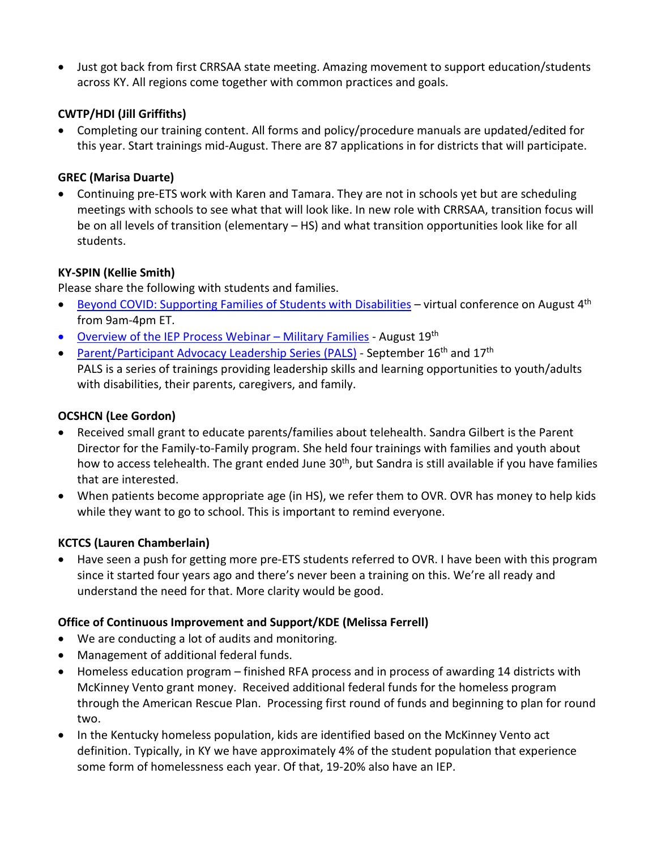• Just got back from first CRRSAA state meeting. Amazing movement to support education/students across KY. All regions come together with common practices and goals.

## **CWTP/HDI (Jill Griffiths)**

• Completing our training content. All forms and policy/procedure manuals are updated/edited for this year. Start trainings mid-August. There are 87 applications in for districts that will participate.

## **GREC (Marisa Duarte)**

• Continuing pre-ETS work with Karen and Tamara. They are not in schools yet but are scheduling meetings with schools to see what that will look like. In new role with CRRSAA, transition focus will be on all levels of transition (elementary – HS) and what transition opportunities look like for all students.

## **KY-SPIN (Kellie Smith)**

Please share the following with students and families.

- [Beyond COVID: Supporting Families of Students with](http://www.kyspin.com/wp-content/uploads/2021/07/KY-SPINs-Fall-Virtual-Conference-Beyond-COVID-Supporting-Families-of-Students-with-Disabilities-8-4-21-Flyer.pdf) Disabilities virtual conference on August  $4<sup>th</sup>$ from 9am-4pm ET.
- Overview of the IEP Process Webinar Military Families August 19th
- [Parent/Participant Advocacy Leadership Series \(PALS\)](https://www.kyspin.com/events/class-2021-ky-spins-parent-participant-advocacy-leadership-series-pals-training/1631782800/1631887200/) September  $16<sup>th</sup>$  and  $17<sup>th</sup>$ PALS is a series of trainings providing leadership skills and learning opportunities to youth/adults with disabilities, their parents, caregivers, and family.

## **OCSHCN (Lee Gordon)**

- Received small grant to educate parents/families about telehealth. Sandra Gilbert is the Parent Director for the Family-to-Family program. She held four trainings with families and youth about how to access telehealth. The grant ended June 30<sup>th</sup>, but Sandra is still available if you have families that are interested.
- When patients become appropriate age (in HS), we refer them to OVR. OVR has money to help kids while they want to go to school. This is important to remind everyone.

## **KCTCS (Lauren Chamberlain)**

• Have seen a push for getting more pre-ETS students referred to OVR. I have been with this program since it started four years ago and there's never been a training on this. We're all ready and understand the need for that. More clarity would be good.

## **Office of Continuous Improvement and Support/KDE (Melissa Ferrell)**

- We are conducting a lot of audits and monitoring.
- Management of additional federal funds.
- Homeless education program finished RFA process and in process of awarding 14 districts with McKinney Vento grant money. Received additional federal funds for the homeless program through the American Rescue Plan. Processing first round of funds and beginning to plan for round two.
- In the Kentucky homeless population, kids are identified based on the McKinney Vento act definition. Typically, in KY we have approximately 4% of the student population that experience some form of homelessness each year. Of that, 19-20% also have an IEP.